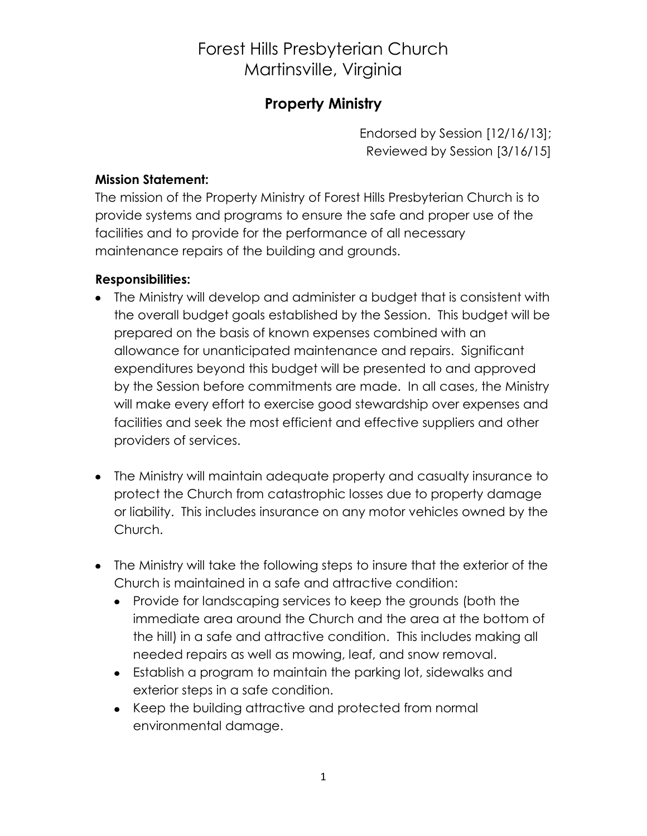## Forest Hills Presbyterian Church Martinsville, Virginia

### **Property Ministry**

Endorsed by Session [12/16/13]; Reviewed by Session [3/16/15]

### **Mission Statement:**

The mission of the Property Ministry of Forest Hills Presbyterian Church is to provide systems and programs to ensure the safe and proper use of the facilities and to provide for the performance of all necessary maintenance repairs of the building and grounds.

### **Responsibilities:**

- The Ministry will develop and administer a budget that is consistent with the overall budget goals established by the Session. This budget will be prepared on the basis of known expenses combined with an allowance for unanticipated maintenance and repairs. Significant expenditures beyond this budget will be presented to and approved by the Session before commitments are made. In all cases, the Ministry will make every effort to exercise good stewardship over expenses and facilities and seek the most efficient and effective suppliers and other providers of services.
- The Ministry will maintain adequate property and casualty insurance to protect the Church from catastrophic losses due to property damage or liability. This includes insurance on any motor vehicles owned by the Church.
- The Ministry will take the following steps to insure that the exterior of the Church is maintained in a safe and attractive condition:
	- Provide for landscaping services to keep the grounds (both the immediate area around the Church and the area at the bottom of the hill) in a safe and attractive condition. This includes making all needed repairs as well as mowing, leaf, and snow removal.
	- Establish a program to maintain the parking lot, sidewalks and exterior steps in a safe condition.
	- Keep the building attractive and protected from normal environmental damage.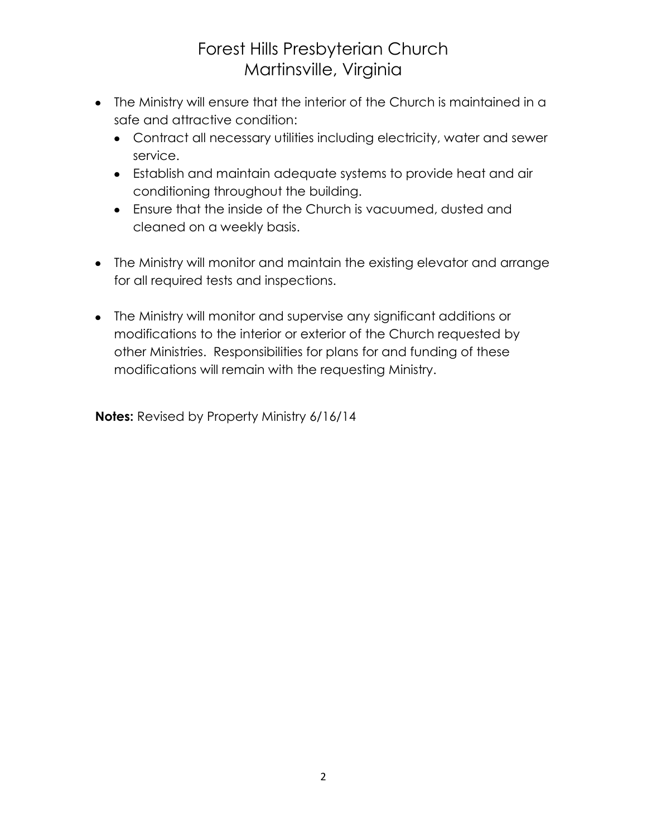# Forest Hills Presbyterian Church Martinsville, Virginia

- The Ministry will ensure that the interior of the Church is maintained in a safe and attractive condition:
	- Contract all necessary utilities including electricity, water and sewer service.
	- Establish and maintain adequate systems to provide heat and air conditioning throughout the building.
	- Ensure that the inside of the Church is vacuumed, dusted and cleaned on a weekly basis.
- The Ministry will monitor and maintain the existing elevator and arrange for all required tests and inspections.
- The Ministry will monitor and supervise any significant additions or modifications to the interior or exterior of the Church requested by other Ministries. Responsibilities for plans for and funding of these modifications will remain with the requesting Ministry.

**Notes:** Revised by Property Ministry 6/16/14